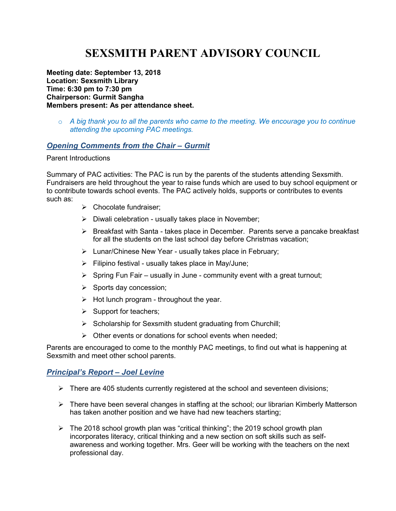# **SEXSMITH PARENT ADVISORY COUNCIL**

**Meeting date: September 13, 2018 Location: Sexsmith Library Time: 6:30 pm to 7:30 pm Chairperson: Gurmit Sangha Members present: As per attendance sheet.** 

o *A big thank you to all the parents who came to the meeting. We encourage you to continue attending the upcoming PAC meetings.* 

#### *Opening Comments from the Chair – Gurmit*

#### Parent Introductions

Summary of PAC activities: The PAC is run by the parents of the students attending Sexsmith. Fundraisers are held throughout the year to raise funds which are used to buy school equipment or to contribute towards school events. The PAC actively holds, supports or contributes to events such as:

- $\triangleright$  Chocolate fundraiser:
- $\triangleright$  Diwali celebration usually takes place in November;
- $\triangleright$  Breakfast with Santa takes place in December. Parents serve a pancake breakfast for all the students on the last school day before Christmas vacation;
- $\triangleright$  Lunar/Chinese New Year usually takes place in February;
- $\triangleright$  Filipino festival usually takes place in May/June;
- $\triangleright$  Spring Fun Fair usually in June community event with a great turnout;
- $\triangleright$  Sports day concession;
- $\triangleright$  Hot lunch program throughout the year.
- $\triangleright$  Support for teachers;
- $\triangleright$  Scholarship for Sexsmith student graduating from Churchill;
- $\triangleright$  Other events or donations for school events when needed;

Parents are encouraged to come to the monthly PAC meetings, to find out what is happening at Sexsmith and meet other school parents.

#### *Principal's Report – Joel Levine*

- $\triangleright$  There are 405 students currently registered at the school and seventeen divisions;
- There have been several changes in staffing at the school; our librarian Kimberly Matterson has taken another position and we have had new teachers starting;
- $\triangleright$  The 2018 school growth plan was "critical thinking"; the 2019 school growth plan incorporates literacy, critical thinking and a new section on soft skills such as selfawareness and working together. Mrs. Geer will be working with the teachers on the next professional day.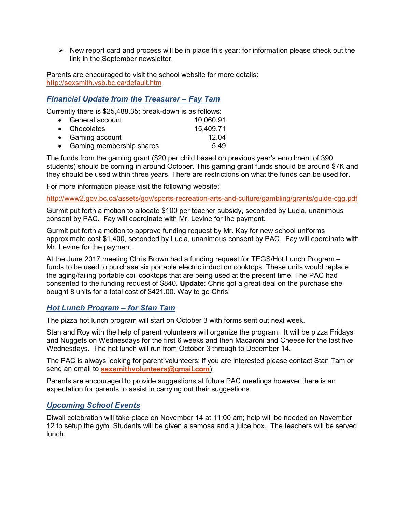$\triangleright$  New report card and process will be in place this year; for information please check out the link in the September newsletter.

Parents are encouraged to visit the school website for more details: http://sexsmith.vsb.bc.ca/default.htm

## *Financial Update from the Treasurer – Fay Tam*

Currently there is \$25,488.35; break-down is as follows:

| • General account          | 10,060.91 |
|----------------------------|-----------|
| • Chocolates               | 15,409.71 |
| • Gaming account           | 12.04     |
| • Gaming membership shares | 5.49      |

The funds from the gaming grant (\$20 per child based on previous year's enrollment of 390 students) should be coming in around October. This gaming grant funds should be around \$7K and they should be used within three years. There are restrictions on what the funds can be used for.

For more information please visit the following website:

http://www2.gov.bc.ca/assets/gov/sports-recreation-arts-and-culture/gambling/grants/guide-cgg.pdf

Gurmit put forth a motion to allocate \$100 per teacher subsidy, seconded by Lucia, unanimous consent by PAC. Fay will coordinate with Mr. Levine for the payment.

Gurmit put forth a motion to approve funding request by Mr. Kay for new school uniforms approximate cost \$1,400, seconded by Lucia, unanimous consent by PAC. Fay will coordinate with Mr. Levine for the payment.

At the June 2017 meeting Chris Brown had a funding request for TEGS/Hot Lunch Program – funds to be used to purchase six portable electric induction cooktops. These units would replace the aging/failing portable coil cooktops that are being used at the present time. The PAC had consented to the funding request of \$840. **Update**: Chris got a great deal on the purchase she bought 8 units for a total cost of \$421.00. Way to go Chris!

#### *Hot Lunch Program – for Stan Tam*

The pizza hot lunch program will start on October 3 with forms sent out next week.

Stan and Roy with the help of parent volunteers will organize the program. It will be pizza Fridays and Nuggets on Wednesdays for the first 6 weeks and then Macaroni and Cheese for the last five Wednesdays. The hot lunch will run from October 3 through to December 14.

The PAC is always looking for parent volunteers; if you are interested please contact Stan Tam or send an email to **sexsmithvolunteers@gmail.com**).

Parents are encouraged to provide suggestions at future PAC meetings however there is an expectation for parents to assist in carrying out their suggestions.

#### *Upcoming School Events*

Diwali celebration will take place on November 14 at 11:00 am; help will be needed on November 12 to setup the gym. Students will be given a samosa and a juice box. The teachers will be served lunch.